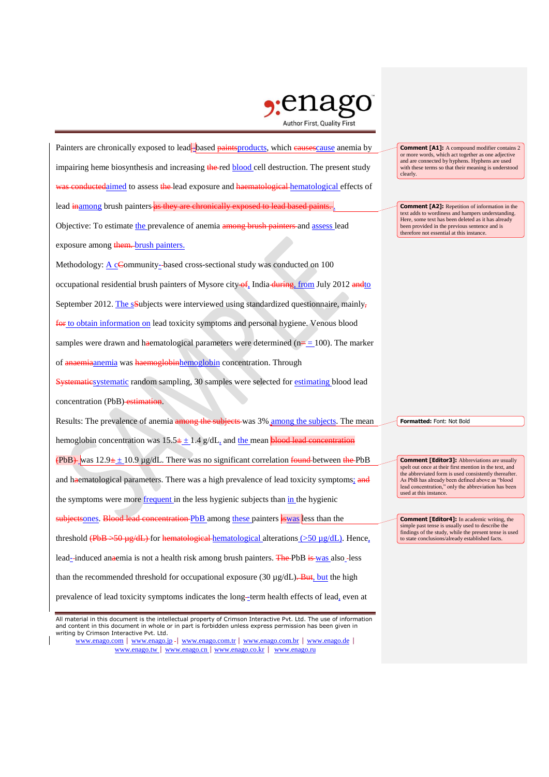

Painters are chronically exposed to lead-based paints products, which eausescause anemia by impairing heme biosynthesis and increasing the red blood cell destruction. The present study experience to assess the lead exposure and harmion or all allematological effects of lead inamong brush painters as they are chronically exposed to lead based paints. Objective: To estimate the prevalence of anemia among brush painters and assess lead exposure among them. brush painters. Methodology:  $\underline{A}$  cCommunity-based cross-sectional study was conducted on 100 occupational residential brush painters of Mysore city of, India during, from July 2012 andto September 2012. The sSubjects were interviewed using standardized questionnaire, mainly, for to obtain information on lead toxicity symptoms and personal hygiene. Venous blood samples were drawn and haematological parameters were determined ( $n=100$ ). The marker of anaemiaanemia was haemoglobinhemoglobin concentration. Through Systematicsystematic random sampling, 30 samples were selected for estimating blood lead concentration (PbB) estimation. Results: The prevalence of anemia among the subjects was 3% among the subjects. The mean hemoglobin concentration was  $15.5 \pm \pm 1.4$  g/dL, and the mean blood lead concentration  $(PbB)$  was 12.9 $\pm$  10.9 µg/dL. There was no significant correlation found between the PbB and haematological parameters. There was a high prevalence of lead toxicity symptoms; and the symptoms were more frequent in the less hygienic subjects than in the hygienic subjectsones. Blood lead concentration PbB among these painters is was less than the threshold  $(PbB \rightarrow 50 \mu g/dL)$  for hematological hematological alterations  $(>50 \mu g/dL)$ . Hence, lead--induced anaemia is not a health risk among brush painters. The PbB is was also -less than the recommended threshold for occupational exposure (30  $\mu$ g/dL). But, but the high prevalence of lead toxicity symptoms indicates the long-term health effects of lead, even at clearly.

**Comment [A1]:** A compound modifier contains 2 or more words, which act together as one adjective and are connected by hyphens. Hyphens are used with these terms so that their meaning is understood

**Comment [A2]:** Repetition of information in the text adds to wordiness and hampers understanding. Here, some text has been deleted as it has already been provided in the previous sentence and is therefore not essential at this instance.

**Formatted:** Font: Not Bold

**Comment [Editor3]:** Abbreviations are usually spelt out once at their first mention in the text, and the abbreviated form is used consistently thereafter. As PbB has already been defined above as "blood lead concentration," only the abbreviation has been used at this instance.

**Comment [Editor4]:** In academic writing, the simple past tense is usually used to describe the findings of the study, while the present tense is used to state conclusions/already established facts.

All material in this document is the intellectual property of Crimson Interactive Pvt. Ltd. The use of information and content in this document in whole or in part is forbidden unless express permission has been given in writing by Crimson Interactive Pvt. Ltd.

www.enago.com | www.enago.jp - | www.enago.com.tr | www.enago.com.br | www.enago.de | www.enago.tw | www.enago.cn | www.enago.co.kr | www.enago.ru